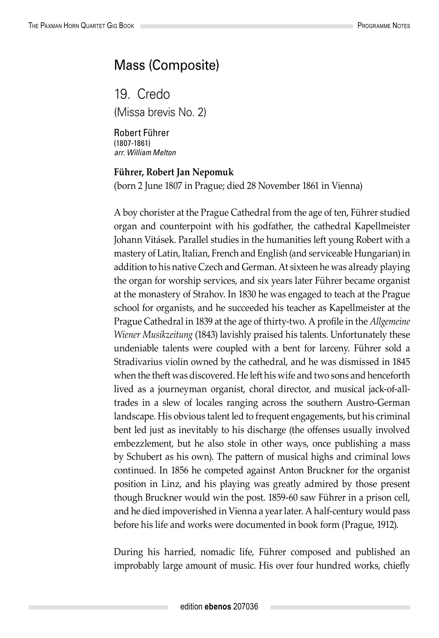## Mass (Composite)

19. Credo (Missa brevis No. 2)

Robert Führer (1807-1861) *arr. William Melton*

## **Führer, Robert Jan Nepomuk**

(born 2 June 1807 in Prague; died 28 November 1861 in Vienna)

A boy chorister at the Prague Cathedral from the age of ten, Führer studied organ and counterpoint with his godfather, the cathedral Kapellmeister Johann Vitásek. Parallel studies in the humanities left young Robert with a mastery of Latin, Italian, French and English (and serviceable Hungarian) in addition to his native Czech and German. At sixteen he was already playing the organ for worship services, and six years later Führer became organist at the monastery of Strahov. In 1830 he was engaged to teach at the Prague school for organists, and he succeeded his teacher as Kapellmeister at the Prague Cathedral in 1839 at the age of thirty-two. A profile in the *Allgemeine Wiener Musikzeitung* (1843) lavishly praised his talents. Unfortunately these undeniable talents were coupled with a bent for larceny. Führer sold a Stradivarius violin owned by the cathedral, and he was dismissed in 1845 when the theft was discovered. He left his wife and two sons and henceforth lived as a journeyman organist, choral director, and musical jack-of-alltrades in a slew of locales ranging across the southern Austro-German landscape. His obvious talent led to frequent engagements, but his criminal bent led just as inevitably to his discharge (the offenses usually involved embezzlement, but he also stole in other ways, once publishing a mass by Schubert as his own). The pattern of musical highs and criminal lows continued. In 1856 he competed against Anton Bruckner for the organist position in Linz, and his playing was greatly admired by those present though Bruckner would win the post. 1859-60 saw Führer in a prison cell, and he died impoverished in Vienna a year later. A half-century would pass before his life and works were documented in book form (Prague, 1912).

During his harried, nomadic life, Führer composed and published an improbably large amount of music. His over four hundred works, chiefly